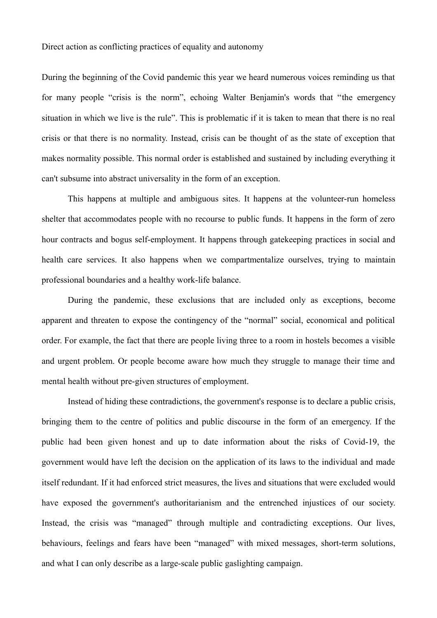During the beginning of the Covid pandemic this year we heard numerous voices reminding us that for many people "crisis is the norm", echoing Walter Benjamin's words that "the emergency situation in which we live is the rule". This is problematic if it is taken to mean that there is no real crisis or that there is no normality. Instead, crisis can be thought of as the state of exception that makes normality possible. This normal order is established and sustained by including everything it can't subsume into abstract universality in the form of an exception.

This happens at multiple and ambiguous sites. It happens at the volunteer-run homeless shelter that accommodates people with no recourse to public funds. It happens in the form of zero hour contracts and bogus self-employment. It happens through gatekeeping practices in social and health care services. It also happens when we compartmentalize ourselves, trying to maintain professional boundaries and a healthy work-life balance.

During the pandemic, these exclusions that are included only as exceptions, become apparent and threaten to expose the contingency of the "normal" social, economical and political order. For example, the fact that there are people living three to a room in hostels becomes a visible and urgent problem. Or people become aware how much they struggle to manage their time and mental health without pre-given structures of employment.

Instead of hiding these contradictions, the government's response is to declare a public crisis, bringing them to the centre of politics and public discourse in the form of an emergency. If the public had been given honest and up to date information about the risks of Covid-19, the government would have left the decision on the application of its laws to the individual and made itself redundant. If it had enforced strict measures, the lives and situations that were excluded would have exposed the government's authoritarianism and the entrenched injustices of our society. Instead, the crisis was "managed" through multiple and contradicting exceptions. Our lives, behaviours, feelings and fears have been "managed" with mixed messages, short-term solutions, and what I can only describe as a large-scale public gaslighting campaign.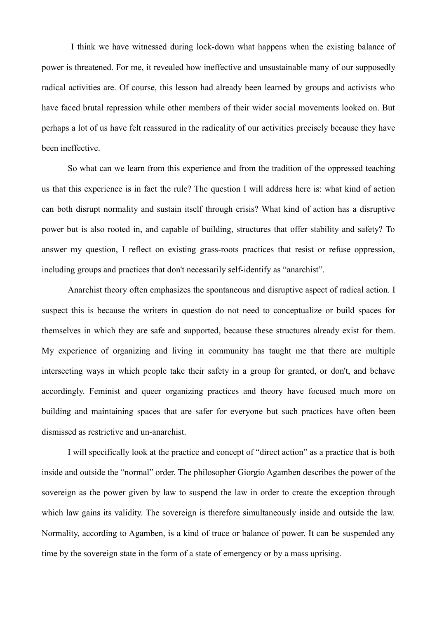I think we have witnessed during lock-down what happens when the existing balance of power is threatened. For me, it revealed how ineffective and unsustainable many of our supposedly radical activities are. Of course, this lesson had already been learned by groups and activists who have faced brutal repression while other members of their wider social movements looked on. But perhaps a lot of us have felt reassured in the radicality of our activities precisely because they have been ineffective.

So what can we learn from this experience and from the tradition of the oppressed teaching us that this experience is in fact the rule? The question I will address here is: what kind of action can both disrupt normality and sustain itself through crisis? What kind of action has a disruptive power but is also rooted in, and capable of building, structures that offer stability and safety? To answer my question, I reflect on existing grass-roots practices that resist or refuse oppression, including groups and practices that don't necessarily self-identify as "anarchist".

Anarchist theory often emphasizes the spontaneous and disruptive aspect of radical action. I suspect this is because the writers in question do not need to conceptualize or build spaces for themselves in which they are safe and supported, because these structures already exist for them. My experience of organizing and living in community has taught me that there are multiple intersecting ways in which people take their safety in a group for granted, or don't, and behave accordingly. Feminist and queer organizing practices and theory have focused much more on building and maintaining spaces that are safer for everyone but such practices have often been dismissed as restrictive and un-anarchist.

I will specifically look at the practice and concept of "direct action" as a practice that is both inside and outside the "normal" order. The philosopher Giorgio Agamben describes the power of the sovereign as the power given by law to suspend the law in order to create the exception through which law gains its validity. The sovereign is therefore simultaneously inside and outside the law. Normality, according to Agamben, is a kind of truce or balance of power. It can be suspended any time by the sovereign state in the form of a state of emergency or by a mass uprising.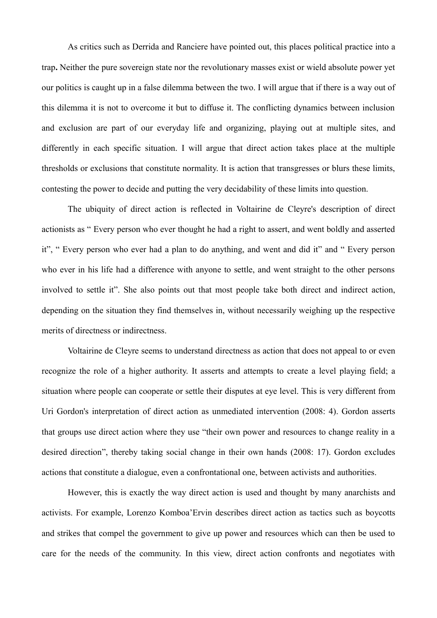As critics such as Derrida and Ranciere have pointed out, this places political practice into a trap**.** Neither the pure sovereign state nor the revolutionary masses exist or wield absolute power yet our politics is caught up in a false dilemma between the two. I will argue that if there is a way out of this dilemma it is not to overcome it but to diffuse it. The conflicting dynamics between inclusion and exclusion are part of our everyday life and organizing, playing out at multiple sites, and differently in each specific situation. I will argue that direct action takes place at the multiple thresholds or exclusions that constitute normality. It is action that transgresses or blurs these limits, contesting the power to decide and putting the very decidability of these limits into question.

The ubiquity of direct action is reflected in Voltairine de Cleyre's description of direct actionists as " Every person who ever thought he had a right to assert, and went boldly and asserted it", " Every person who ever had a plan to do anything, and went and did it" and " Every person who ever in his life had a difference with anyone to settle, and went straight to the other persons involved to settle it". She also points out that most people take both direct and indirect action, depending on the situation they find themselves in, without necessarily weighing up the respective merits of directness or indirectness.

Voltairine de Cleyre seems to understand directness as action that does not appeal to or even recognize the role of a higher authority. It asserts and attempts to create a level playing field; a situation where people can cooperate or settle their disputes at eye level. This is very different from Uri Gordon's interpretation of direct action as unmediated intervention (2008: 4). Gordon asserts that groups use direct action where they use "their own power and resources to change reality in a desired direction", thereby taking social change in their own hands (2008: 17). Gordon excludes actions that constitute a dialogue, even a confrontational one, between activists and authorities.

However, this is exactly the way direct action is used and thought by many anarchists and activists. For example, Lorenzo Komboa'Ervin describes direct action as tactics such as boycotts and strikes that compel the government to give up power and resources which can then be used to care for the needs of the community. In this view, direct action confronts and negotiates with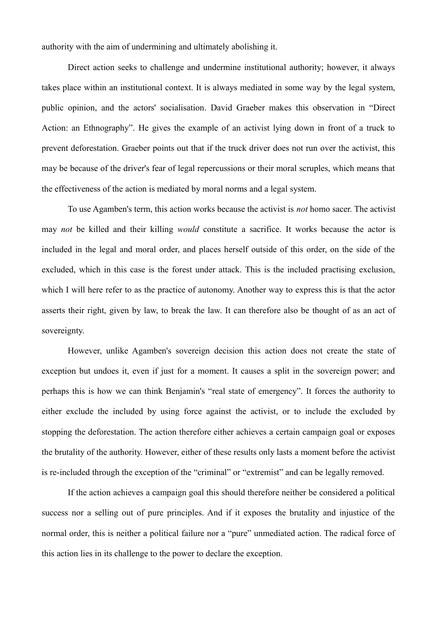authority with the aim of undermining and ultimately abolishing it.

Direct action seeks to challenge and undermine institutional authority; however, it always takes place within an institutional context. It is always mediated in some way by the legal system, public opinion, and the actors' socialisation. David Graeber makes this observation in "Direct Action: an Ethnography". He gives the example of an activist lying down in front of a truck to prevent deforestation. Graeber points out that if the truck driver does not run over the activist, this may be because of the driver's fear of legal repercussions or their moral scruples, which means that the effectiveness of the action is mediated by moral norms and a legal system.

To use Agamben's term, this action works because the activist is *not* homo sacer. The activist may *not* be killed and their killing *would* constitute a sacrifice. It works because the actor is included in the legal and moral order, and places herself outside of this order, on the side of the excluded, which in this case is the forest under attack. This is the included practising exclusion, which I will here refer to as the practice of autonomy. Another way to express this is that the actor asserts their right, given by law, to break the law. It can therefore also be thought of as an act of sovereignty.

However, unlike Agamben's sovereign decision this action does not create the state of exception but undoes it, even if just for a moment. It causes a split in the sovereign power; and perhaps this is how we can think Benjamin's "real state of emergency". It forces the authority to either exclude the included by using force against the activist, or to include the excluded by stopping the deforestation. The action therefore either achieves a certain campaign goal or exposes the brutality of the authority. However, either of these results only lasts a moment before the activist is re-included through the exception of the "criminal" or "extremist" and can be legally removed.

If the action achieves a campaign goal this should therefore neither be considered a political success nor a selling out of pure principles. And if it exposes the brutality and injustice of the normal order, this is neither a political failure nor a "pure" unmediated action. The radical force of this action lies in its challenge to the power to declare the exception.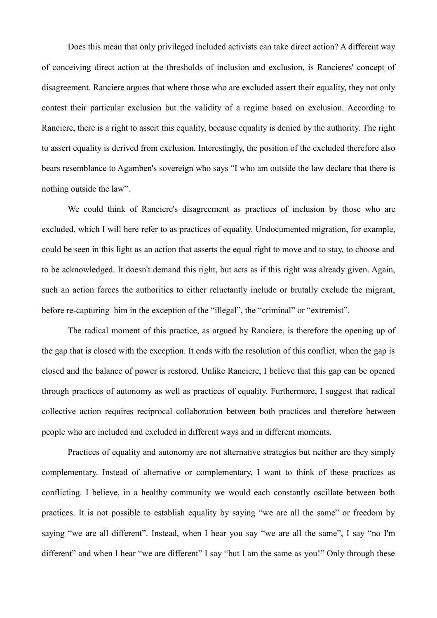Does this mean that only privileged included activists can take direct action? A different way of conceiving direct action at the thresholds of inclusion and exclusion, is Rancieres' concept of disagreement. Ranciere argues that where those who are excluded assert their equality, they not only contest their particular exclusion but the validity of a regime based on exclusion. According to Ranciere, there is a right to assert this equality, because equality is denied by the authority. The right to assert equality is derived from exclusion. Interestingly, the position of the excluded therefore also bears resemblance to Agamben's sovereign who says "I who am outside the law declare that there is nothing outside the law".

We could think of Ranciere's disagreement as practices of inclusion by those who are excluded, which I will here refer to as practices of equality. Undocumented migration, for example, could be seen in this light as an action that asserts the equal right to move and to stay, to choose and to be acknowledged. It doesn't demand this right, but acts as if this right was already given. Again, such an action forces the authorities to either reluctantly include or brutally exclude the migrant, before re-capturing him in the exception of the "illegal", the "criminal" or "extremist".

The radical moment of this practice, as argued by Ranciere, is therefore the opening up of the gap that is closed with the exception. It ends with the resolution of this conflict, when the gap is closed and the balance of power is restored. Unlike Ranciere, I believe that this gap can be opened through practices of autonomy as well as practices of equality. Furthermore, I suggest that radical collective action requires reciprocal collaboration between both practices and therefore between people who are included and excluded in different ways and in different moments.

Practices of equality and autonomy are not alternative strategies but neither are they simply complementary. Instead of alternative or complementary, I want to think of these practices as conflicting. I believe, in a healthy community we would each constantly oscillate between both practices. It is not possible to establish equality by saying "we are all the same" or freedom by saying "we are all different". Instead, when I hear you say "we are all the same", I say "no I'm different" and when I hear "we are different" I say "but I am the same as you!" Only through these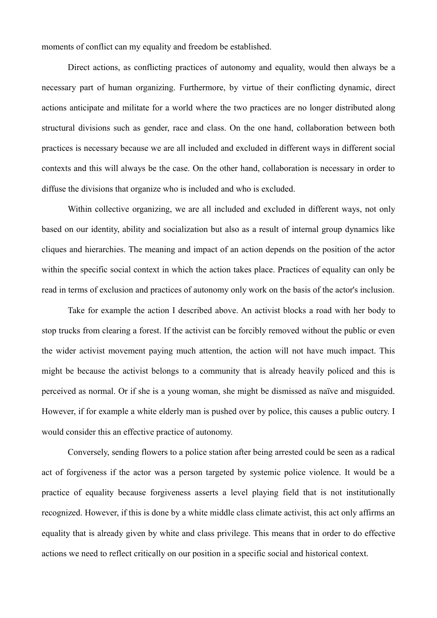moments of conflict can my equality and freedom be established.

Direct actions, as conflicting practices of autonomy and equality, would then always be a necessary part of human organizing. Furthermore, by virtue of their conflicting dynamic, direct actions anticipate and militate for a world where the two practices are no longer distributed along structural divisions such as gender, race and class. On the one hand, collaboration between both practices is necessary because we are all included and excluded in different ways in different social contexts and this will always be the case. On the other hand, collaboration is necessary in order to diffuse the divisions that organize who is included and who is excluded.

Within collective organizing, we are all included and excluded in different ways, not only based on our identity, ability and socialization but also as a result of internal group dynamics like cliques and hierarchies. The meaning and impact of an action depends on the position of the actor within the specific social context in which the action takes place. Practices of equality can only be read in terms of exclusion and practices of autonomy only work on the basis of the actor's inclusion.

Take for example the action I described above. An activist blocks a road with her body to stop trucks from clearing a forest. If the activist can be forcibly removed without the public or even the wider activist movement paying much attention, the action will not have much impact. This might be because the activist belongs to a community that is already heavily policed and this is perceived as normal. Or if she is a young woman, she might be dismissed as naïve and misguided. However, if for example a white elderly man is pushed over by police, this causes a public outcry. I would consider this an effective practice of autonomy.

Conversely, sending flowers to a police station after being arrested could be seen as a radical act of forgiveness if the actor was a person targeted by systemic police violence. It would be a practice of equality because forgiveness asserts a level playing field that is not institutionally recognized. However, if this is done by a white middle class climate activist, this act only affirms an equality that is already given by white and class privilege. This means that in order to do effective actions we need to reflect critically on our position in a specific social and historical context.